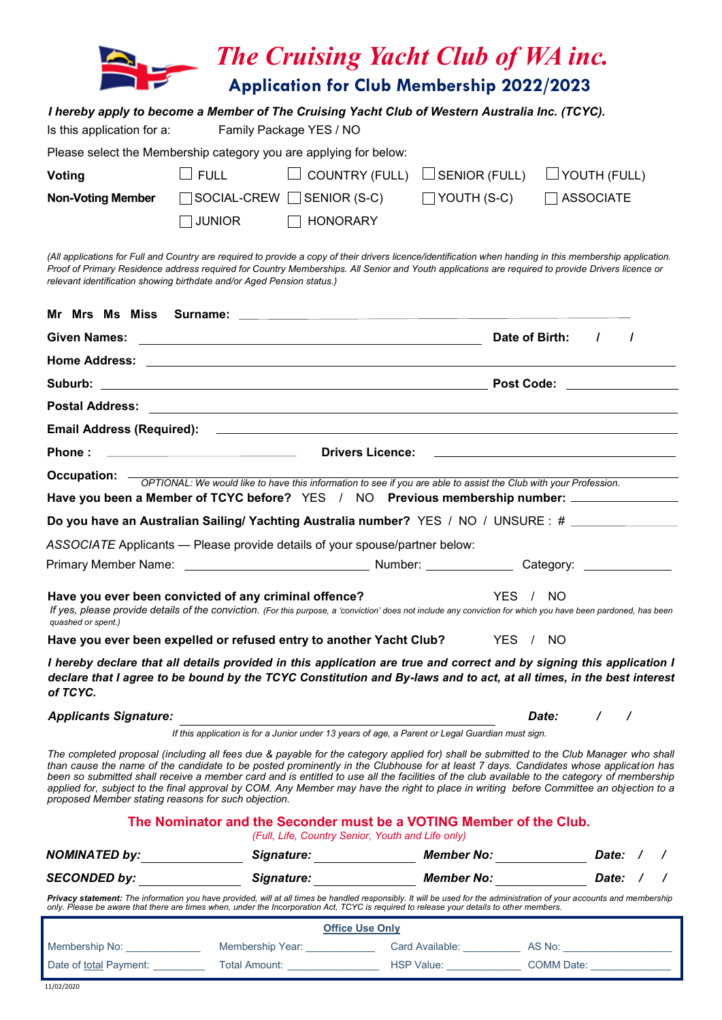|                                                                                                                                                                                                                                                                                                                                                                                                                                                                                                                                                                                                                                  | The Cruising Yacht Club of WA inc.<br><b>Application for Club Membership 2022/2023</b>                                   |                                                                                                                                                                                                                                |                            |          |  |
|----------------------------------------------------------------------------------------------------------------------------------------------------------------------------------------------------------------------------------------------------------------------------------------------------------------------------------------------------------------------------------------------------------------------------------------------------------------------------------------------------------------------------------------------------------------------------------------------------------------------------------|--------------------------------------------------------------------------------------------------------------------------|--------------------------------------------------------------------------------------------------------------------------------------------------------------------------------------------------------------------------------|----------------------------|----------|--|
| I hereby apply to become a Member of The Cruising Yacht Club of Western Australia Inc. (TCYC).<br>Is this application for a:                                                                                                                                                                                                                                                                                                                                                                                                                                                                                                     | Family Package YES / NO                                                                                                  |                                                                                                                                                                                                                                |                            |          |  |
| Please select the Membership category you are applying for below:                                                                                                                                                                                                                                                                                                                                                                                                                                                                                                                                                                |                                                                                                                          |                                                                                                                                                                                                                                |                            |          |  |
| $\Box$ Full<br>Voting                                                                                                                                                                                                                                                                                                                                                                                                                                                                                                                                                                                                            |                                                                                                                          | $\Box$ COUNTRY (FULL) $\Box$ SENIOR (FULL)                                                                                                                                                                                     | $\Box$ YOUTH (FULL)        |          |  |
| <b>Non-Voting Member</b>                                                                                                                                                                                                                                                                                                                                                                                                                                                                                                                                                                                                         | $ {\tt SOC}$ IAL-CREW $\Box$ SENIOR (S-C)                                                                                | $\Box$ YOUTH (S-C)                                                                                                                                                                                                             | <b>ASSOCIATE</b>           |          |  |
| <b>JUNIOR</b>                                                                                                                                                                                                                                                                                                                                                                                                                                                                                                                                                                                                                    | $\sqcap$ HONORARY                                                                                                        |                                                                                                                                                                                                                                |                            |          |  |
| (All applications for Full and Country are required to provide a copy of their drivers licence/identification when handing in this membership application.<br>Proof of Primary Residence address required for Country Memberships. All Senior and Youth applications are required to provide Drivers licence or<br>relevant identification showing birthdate and/or Aged Pension status.)                                                                                                                                                                                                                                        |                                                                                                                          |                                                                                                                                                                                                                                |                            |          |  |
|                                                                                                                                                                                                                                                                                                                                                                                                                                                                                                                                                                                                                                  |                                                                                                                          |                                                                                                                                                                                                                                |                            |          |  |
| <b>Given Names:</b>                                                                                                                                                                                                                                                                                                                                                                                                                                                                                                                                                                                                              | <u> 1989 - Johann Barn, fransk politik amerikansk politik (</u>                                                          |                                                                                                                                                                                                                                | Date of Birth:<br>$\prime$ | $\prime$ |  |
|                                                                                                                                                                                                                                                                                                                                                                                                                                                                                                                                                                                                                                  |                                                                                                                          |                                                                                                                                                                                                                                |                            |          |  |
|                                                                                                                                                                                                                                                                                                                                                                                                                                                                                                                                                                                                                                  |                                                                                                                          |                                                                                                                                                                                                                                |                            |          |  |
| <b>Postal Address:</b>                                                                                                                                                                                                                                                                                                                                                                                                                                                                                                                                                                                                           | <u> 1980 - Johann Barn, amerikan besteman besteman besteman besteman besteman besteman besteman besteman bestema</u>     |                                                                                                                                                                                                                                |                            |          |  |
|                                                                                                                                                                                                                                                                                                                                                                                                                                                                                                                                                                                                                                  |                                                                                                                          |                                                                                                                                                                                                                                |                            |          |  |
| Phone:<br><u> 1980 - Johann Barbara, martin amerikan basar dan berasal dalam basar dalam basar dalam basar dalam basar dala</u>                                                                                                                                                                                                                                                                                                                                                                                                                                                                                                  | <b>Drivers Licence:</b>                                                                                                  |                                                                                                                                                                                                                                |                            |          |  |
| <b>Occupation:</b>                                                                                                                                                                                                                                                                                                                                                                                                                                                                                                                                                                                                               | OPTIONAL: We would like to have this information to see if you are able to assist the Club with your Profession.         |                                                                                                                                                                                                                                |                            |          |  |
| Have you been a Member of TCYC before? YES / NO Previous membership number: ____________                                                                                                                                                                                                                                                                                                                                                                                                                                                                                                                                         |                                                                                                                          |                                                                                                                                                                                                                                |                            |          |  |
| Do you have an Australian Sailing/Yachting Australia number? YES / NO / UNSURE : # ________________                                                                                                                                                                                                                                                                                                                                                                                                                                                                                                                              |                                                                                                                          |                                                                                                                                                                                                                                |                            |          |  |
| ASSOCIATE Applicants - Please provide details of your spouse/partner below:                                                                                                                                                                                                                                                                                                                                                                                                                                                                                                                                                      |                                                                                                                          |                                                                                                                                                                                                                                |                            |          |  |
| Primary Member Name:                                                                                                                                                                                                                                                                                                                                                                                                                                                                                                                                                                                                             |                                                                                                                          | Number: and the state of the state of the state of the state of the state of the state of the state of the state of the state of the state of the state of the state of the state of the state of the state of the state of th | Category:                  |          |  |
| Have you ever been convicted of any criminal offence?<br>If yes, please provide details of the conviction. (For this purpose, a 'conviction' does not include any conviction for which you have been pardoned, has been<br>quashed or spent.)                                                                                                                                                                                                                                                                                                                                                                                    |                                                                                                                          |                                                                                                                                                                                                                                | YES / NO                   |          |  |
| Have you ever been expelled or refused entry to another Yacht Club? YES / NO                                                                                                                                                                                                                                                                                                                                                                                                                                                                                                                                                     |                                                                                                                          |                                                                                                                                                                                                                                |                            |          |  |
| I hereby declare that all details provided in this application are true and correct and by signing this application I<br>declare that I agree to be bound by the TCYC Constitution and By-laws and to act, at all times, in the best interest<br>of TCYC.                                                                                                                                                                                                                                                                                                                                                                        |                                                                                                                          |                                                                                                                                                                                                                                |                            |          |  |
| <b>Applicants Signature:</b>                                                                                                                                                                                                                                                                                                                                                                                                                                                                                                                                                                                                     |                                                                                                                          |                                                                                                                                                                                                                                | Date: $\frac{1}{2}$ /      |          |  |
|                                                                                                                                                                                                                                                                                                                                                                                                                                                                                                                                                                                                                                  | If this application is for a Junior under 13 years of age, a Parent or Legal Guardian must sign.                         |                                                                                                                                                                                                                                |                            |          |  |
| The completed proposal (including all fees due & payable for the category applied for) shall be submitted to the Club Manager who shall<br>than cause the name of the candidate to be posted prominently in the Clubhouse for at least 7 days. Candidates whose application has<br>been so submitted shall receive a member card and is entitled to use all the facilities of the club available to the category of membership<br>applied for, subject to the final approval by COM. Any Member may have the right to place in writing before Committee an objection to a<br>proposed Member stating reasons for such objection. |                                                                                                                          |                                                                                                                                                                                                                                |                            |          |  |
|                                                                                                                                                                                                                                                                                                                                                                                                                                                                                                                                                                                                                                  | The Nominator and the Seconder must be a VOTING Member of the Club.<br>(Full, Life, Country Senior, Youth and Life only) |                                                                                                                                                                                                                                |                            |          |  |
|                                                                                                                                                                                                                                                                                                                                                                                                                                                                                                                                                                                                                                  |                                                                                                                          |                                                                                                                                                                                                                                |                            |          |  |
|                                                                                                                                                                                                                                                                                                                                                                                                                                                                                                                                                                                                                                  |                                                                                                                          |                                                                                                                                                                                                                                |                            |          |  |
| Privacy statement: The information you have provided, will at all times be handled responsibly. It will be used for the administration of your accounts and membership<br>only. Please be aware that there are times when, under the Incorporation Act, TCYC is required to release your details to other members.                                                                                                                                                                                                                                                                                                               |                                                                                                                          |                                                                                                                                                                                                                                |                            |          |  |

| <b>Office Use Only</b> |                  |                   |                   |  |  |  |  |
|------------------------|------------------|-------------------|-------------------|--|--|--|--|
| Membership No:         | Membership Year: | Card Available:   | AS No:            |  |  |  |  |
| Date of total Payment: | Total Amount:    | <b>HSP Value:</b> | <b>COMM Date:</b> |  |  |  |  |